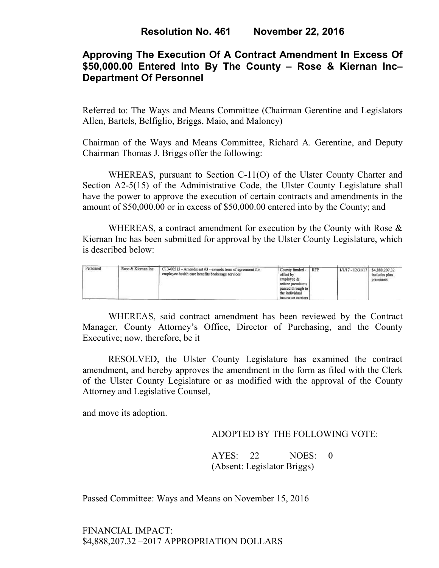## **Approving The Execution Of A Contract Amendment In Excess Of \$50,000.00 Entered Into By The County – Rose & Kiernan Inc– Department Of Personnel**

Referred to: The Ways and Means Committee (Chairman Gerentine and Legislators Allen, Bartels, Belfiglio, Briggs, Maio, and Maloney)

Chairman of the Ways and Means Committee, Richard A. Gerentine, and Deputy Chairman Thomas J. Briggs offer the following:

WHEREAS, pursuant to Section C-11(O) of the Ulster County Charter and Section A2-5(15) of the Administrative Code, the Ulster County Legislature shall have the power to approve the execution of certain contracts and amendments in the amount of \$50,000.00 or in excess of \$50,000.00 entered into by the County; and

WHEREAS, a contract amendment for execution by the County with Rose  $\&$ Kiernan Inc has been submitted for approval by the Ulster County Legislature, which is described below:

| Personnel<br>1999 - PARTS | Rose & Kiernan Inc. | C13-00513 - Amendment #3 - extends term of agreement for<br>employee health care benefits brokerage services | County funded -<br>offset by<br>employee &<br>retiree premiums<br>passed through to<br>the individual<br>insurance carriers | <b>RFP</b> | $1/1/17 - 12/31/17$ | \$4,888,207.32<br>includes plan<br>premiums |
|---------------------------|---------------------|--------------------------------------------------------------------------------------------------------------|-----------------------------------------------------------------------------------------------------------------------------|------------|---------------------|---------------------------------------------|
|---------------------------|---------------------|--------------------------------------------------------------------------------------------------------------|-----------------------------------------------------------------------------------------------------------------------------|------------|---------------------|---------------------------------------------|

WHEREAS, said contract amendment has been reviewed by the Contract Manager, County Attorney's Office, Director of Purchasing, and the County Executive; now, therefore, be it

RESOLVED, the Ulster County Legislature has examined the contract amendment, and hereby approves the amendment in the form as filed with the Clerk of the Ulster County Legislature or as modified with the approval of the County Attorney and Legislative Counsel,

and move its adoption.

#### ADOPTED BY THE FOLLOWING VOTE:

 AYES: 22 NOES: 0 (Absent: Legislator Briggs)

Passed Committee: Ways and Means on November 15, 2016

FINANCIAL IMPACT: \$4,888,207.32 –2017 APPROPRIATION DOLLARS